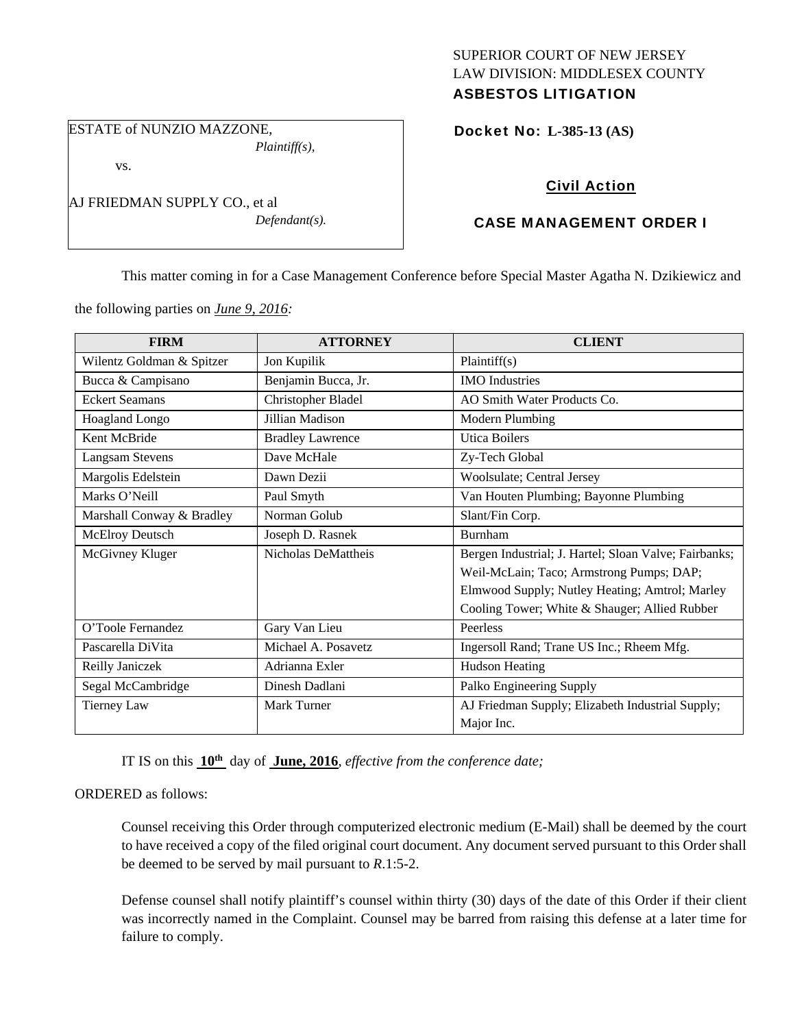## SUPERIOR COURT OF NEW JERSEY LAW DIVISION: MIDDLESEX COUNTY ASBESTOS LITIGATION

ESTATE of NUNZIO MAZZONE, *Plaintiff(s),* 

vs.

AJ FRIEDMAN SUPPLY CO., et al *Defendant(s).*  Docket No: **L-385-13 (AS)** 

# Civil Action

# CASE MANAGEMENT ORDER I

This matter coming in for a Case Management Conference before Special Master Agatha N. Dzikiewicz and

the following parties on *June 9, 2016:* 

| <b>FIRM</b>               | <b>ATTORNEY</b>         | <b>CLIENT</b>                                         |
|---------------------------|-------------------------|-------------------------------------------------------|
| Wilentz Goldman & Spitzer | Jon Kupilik             | Plaintiff(s)                                          |
| Bucca & Campisano         | Benjamin Bucca, Jr.     | <b>IMO</b> Industries                                 |
| <b>Eckert Seamans</b>     | Christopher Bladel      | AO Smith Water Products Co.                           |
| Hoagland Longo            | Jillian Madison         | <b>Modern Plumbing</b>                                |
| Kent McBride              | <b>Bradley Lawrence</b> | <b>Utica Boilers</b>                                  |
| <b>Langsam Stevens</b>    | Dave McHale             | Zy-Tech Global                                        |
| Margolis Edelstein        | Dawn Dezii              | Woolsulate; Central Jersey                            |
| Marks O'Neill             | Paul Smyth              | Van Houten Plumbing; Bayonne Plumbing                 |
| Marshall Conway & Bradley | Norman Golub            | Slant/Fin Corp.                                       |
| McElroy Deutsch           | Joseph D. Rasnek        | Burnham                                               |
| McGivney Kluger           | Nicholas DeMattheis     | Bergen Industrial; J. Hartel; Sloan Valve; Fairbanks; |
|                           |                         | Weil-McLain; Taco; Armstrong Pumps; DAP;              |
|                           |                         | Elmwood Supply; Nutley Heating; Amtrol; Marley        |
|                           |                         | Cooling Tower; White & Shauger; Allied Rubber         |
| O'Toole Fernandez         | Gary Van Lieu           | Peerless                                              |
| Pascarella DiVita         | Michael A. Posavetz     | Ingersoll Rand; Trane US Inc.; Rheem Mfg.             |
| Reilly Janiczek           | Adrianna Exler          | <b>Hudson Heating</b>                                 |
| Segal McCambridge         | Dinesh Dadlani          | Palko Engineering Supply                              |
| <b>Tierney Law</b>        | Mark Turner             | AJ Friedman Supply; Elizabeth Industrial Supply;      |
|                           |                         | Major Inc.                                            |

IT IS on this **10th** day of **June, 2016**, *effective from the conference date;*

## ORDERED as follows:

Counsel receiving this Order through computerized electronic medium (E-Mail) shall be deemed by the court to have received a copy of the filed original court document. Any document served pursuant to this Order shall be deemed to be served by mail pursuant to *R*.1:5-2.

Defense counsel shall notify plaintiff's counsel within thirty (30) days of the date of this Order if their client was incorrectly named in the Complaint. Counsel may be barred from raising this defense at a later time for failure to comply.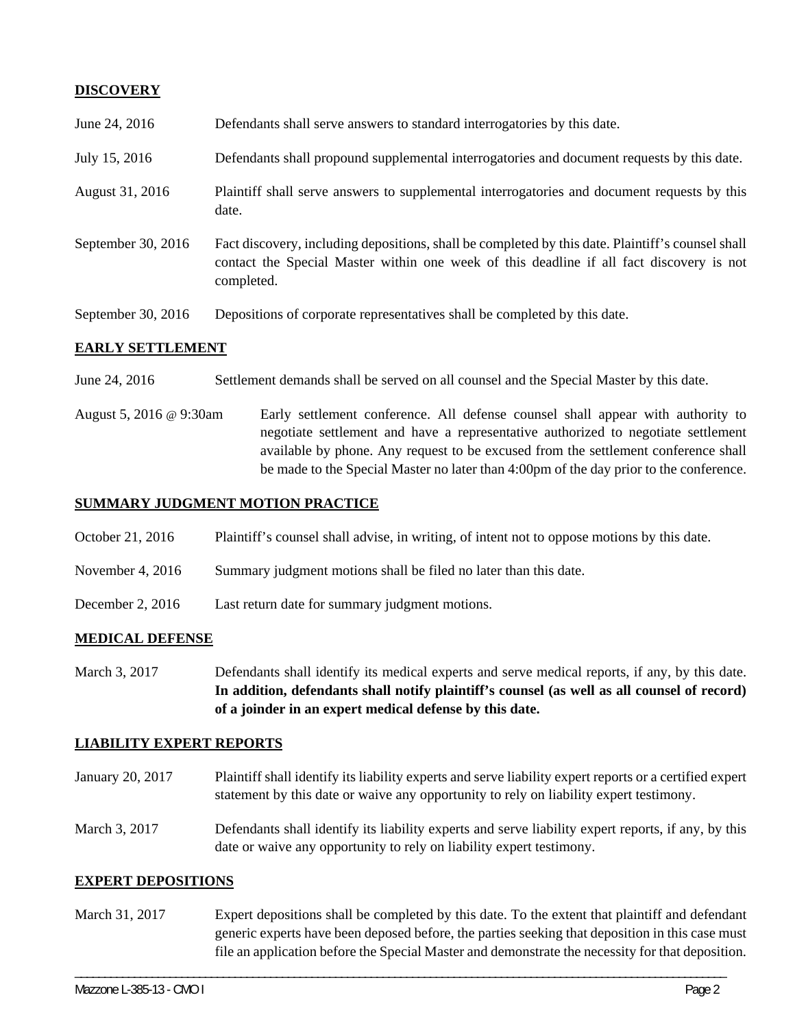# **DISCOVERY**

- June 24, 2016 Defendants shall serve answers to standard interrogatories by this date.
- July 15, 2016 Defendants shall propound supplemental interrogatories and document requests by this date.
- August 31, 2016 Plaintiff shall serve answers to supplemental interrogatories and document requests by this date.
- September 30, 2016 Fact discovery, including depositions, shall be completed by this date. Plaintiff's counsel shall contact the Special Master within one week of this deadline if all fact discovery is not completed.

September 30, 2016 Depositions of corporate representatives shall be completed by this date.

### **EARLY SETTLEMENT**

- June 24, 2016 Settlement demands shall be served on all counsel and the Special Master by this date.
- August 5, 2016 @ 9:30am Early settlement conference. All defense counsel shall appear with authority to negotiate settlement and have a representative authorized to negotiate settlement available by phone. Any request to be excused from the settlement conference shall be made to the Special Master no later than 4:00pm of the day prior to the conference.

## **SUMMARY JUDGMENT MOTION PRACTICE**

- October 21, 2016 Plaintiff's counsel shall advise, in writing, of intent not to oppose motions by this date.
- November 4, 2016 Summary judgment motions shall be filed no later than this date.
- December 2, 2016 Last return date for summary judgment motions.

### **MEDICAL DEFENSE**

March 3, 2017 Defendants shall identify its medical experts and serve medical reports, if any, by this date. **In addition, defendants shall notify plaintiff's counsel (as well as all counsel of record) of a joinder in an expert medical defense by this date.** 

### **LIABILITY EXPERT REPORTS**

- January 20, 2017 Plaintiff shall identify its liability experts and serve liability expert reports or a certified expert statement by this date or waive any opportunity to rely on liability expert testimony.
- March 3, 2017 Defendants shall identify its liability experts and serve liability expert reports, if any, by this date or waive any opportunity to rely on liability expert testimony.

### **EXPERT DEPOSITIONS**

March 31, 2017 Expert depositions shall be completed by this date. To the extent that plaintiff and defendant generic experts have been deposed before, the parties seeking that deposition in this case must file an application before the Special Master and demonstrate the necessity for that deposition.

\_\_\_\_\_\_\_\_\_\_\_\_\_\_\_\_\_\_\_\_\_\_\_\_\_\_\_\_\_\_\_\_\_\_\_\_\_\_\_\_\_\_\_\_\_\_\_\_\_\_\_\_\_\_\_\_\_\_\_\_\_\_\_\_\_\_\_\_\_\_\_\_\_\_\_\_\_\_\_\_\_\_\_\_\_\_\_\_\_\_\_\_\_\_\_\_\_\_\_\_\_\_\_\_\_\_\_\_\_\_